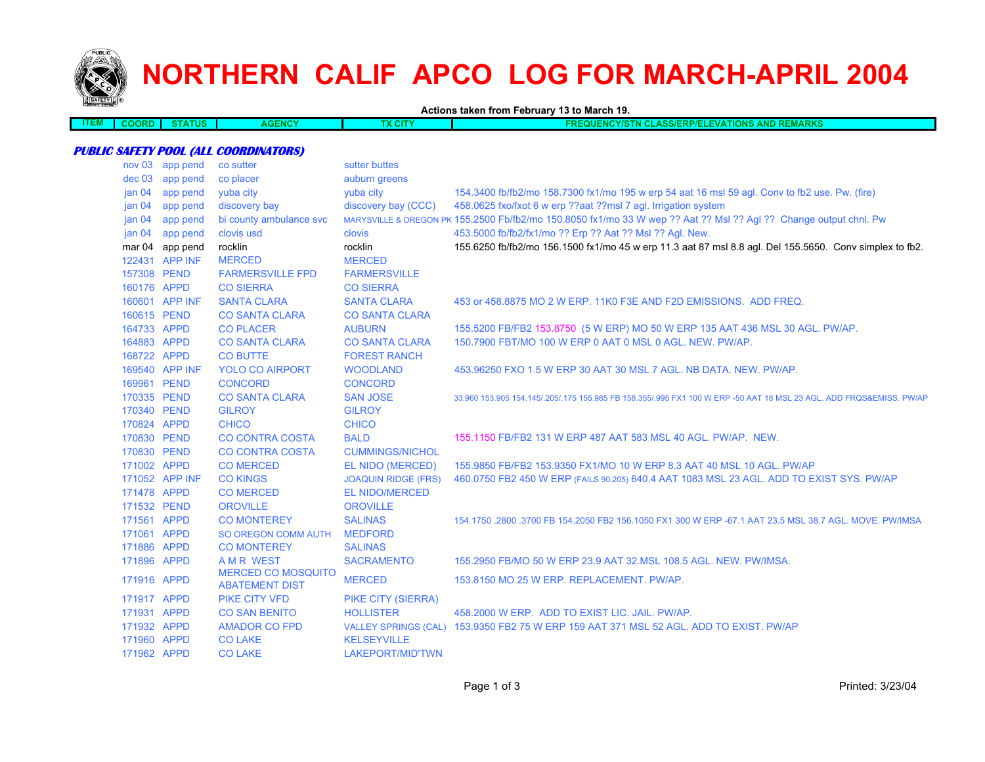

## **NORTHERN CALIF APCO LOG FOR MARCH-APRIL 2004**

**Actions taken from February 13 to March 19.**

| --- | 11 J I R | rus | <b>GENCY</b><br>A C 2 | <b><i>CONSTRUCTION</i></b><br>7GI P | ле<br><b>AVIARNO</b><br>.<br><b>INT</b><br>.<br>oonemr<br>$\sim$ . The set of $\sim$<br>. |
|-----|----------|-----|-----------------------|-------------------------------------|-------------------------------------------------------------------------------------------|
|     |          |     |                       |                                     |                                                                                           |
|     |          |     |                       |                                     |                                                                                           |

## **PUBLIC SAFETY POOL (ALL COORDINATORS)**

| nov <sub>03</sub> | app pend        | co sutter                                          | sutter buttes               |                                                                                                                     |
|-------------------|-----------------|----------------------------------------------------|-----------------------------|---------------------------------------------------------------------------------------------------------------------|
| $dec$ 03          | app pend        | co placer                                          | auburn greens               |                                                                                                                     |
| jan <sub>04</sub> | app pend        | yuba city                                          | yuba city                   | 154.3400 fb/fb2/mo 158.7300 fx1/mo 195 w erp 54 aat 16 msl 59 agl. Conv to fb2 use. Pw. (fire)                      |
| jan <sub>04</sub> | app pend        | discovery bay                                      | discovery bay (CCC)         | 458.0625 fxo/fxot 6 w erp ??aat ??msl 7 agl. Irrigation system                                                      |
| jan <sub>04</sub> | app pend        | bi county ambulance svc                            |                             | MARYSVILLE & OREGON PK 155.2500 Fb/fb2/mo 150.8050 fx1/mo 33 W wep ?? Aat ?? Msl ?? Agl ?? Change output chnl. Pw   |
| jan <sub>04</sub> | app pend        | clovis usd                                         | clovis                      | 453.5000 fb/fb2/fx1/mo ?? Erp ?? Aat ?? Msl ?? Agl. New.                                                            |
|                   | mar 04 app pend | rocklin                                            | rocklin                     | 155.6250 fb/fb2/mo 156.1500 fx1/mo 45 w erp 11.3 aat 87 msl 8.8 agl. Del 155.5650. Conv simplex to fb2.             |
|                   | 122431 APP INF  | <b>MERCED</b>                                      | <b>MERCED</b>               |                                                                                                                     |
| 157308 PEND       |                 | <b>FARMERSVILLE FPD</b>                            | <b>FARMERSVILLE</b>         |                                                                                                                     |
| 160176 APPD       |                 | <b>CO SIERRA</b>                                   | <b>CO SIERRA</b>            |                                                                                                                     |
|                   | 160601 APP INF  | <b>SANTA CLARA</b>                                 | <b>SANTA CLARA</b>          | 453 or 458,8875 MO 2 W ERP, 11K0 F3E AND F2D EMISSIONS. ADD FREQ.                                                   |
| 160615 PEND       |                 | <b>CO SANTA CLARA</b>                              | <b>CO SANTA CLARA</b>       |                                                                                                                     |
| 164733 APPD       |                 | <b>CO PLACER</b>                                   | <b>AUBURN</b>               | 155.5200 FB/FB2 153.8750 (5 W ERP) MO 50 W ERP 135 AAT 436 MSL 30 AGL. PW/AP.                                       |
| 164883 APPD       |                 | <b>CO SANTA CLARA</b>                              | <b>CO SANTA CLARA</b>       | 150.7900 FBT/MO 100 W ERP 0 AAT 0 MSL 0 AGL, NEW, PW/AP.                                                            |
| 168722 APPD       |                 | <b>CO BUTTE</b>                                    | <b>FOREST RANCH</b>         |                                                                                                                     |
|                   | 169540 APP INF  | <b>YOLO CO AIRPORT</b>                             | <b>WOODLAND</b>             | 453,96250 FXO 1.5 W ERP 30 AAT 30 MSL 7 AGL, NB DATA, NEW, PW/AP.                                                   |
| 169961 PEND       |                 | <b>CONCORD</b>                                     | <b>CONCORD</b>              |                                                                                                                     |
| 170335 PEND       |                 | <b>CO SANTA CLARA</b>                              | <b>SAN JOSE</b>             | 33,960 153,905 154,145/.205/.175 155,985 FB 158,355/.995 FX1 100 W ERP -50 AAT 18 MSL 23 AGL. ADD FRQS&EMISS, PW/AP |
| 170340 PEND       |                 | <b>GILROY</b>                                      | <b>GILROY</b>               |                                                                                                                     |
| 170824 APPD       |                 | <b>CHICO</b>                                       | <b>CHICO</b>                |                                                                                                                     |
| 170830 PEND       |                 | <b>CO CONTRA COSTA</b>                             | <b>BALD</b>                 | 155.1150 FB/FB2 131 W ERP 487 AAT 583 MSL 40 AGL, PW/AP, NEW.                                                       |
| 170830 PEND       |                 | <b>CO CONTRA COSTA</b>                             | <b>CUMMINGS/NICHOL</b>      |                                                                                                                     |
| 171002 APPD       |                 | <b>CO MERCED</b>                                   | EL NIDO (MERCED)            | 155,9850 FB/FB2 153,9350 FX1/MO 10 W ERP 8.3 AAT 40 MSL 10 AGL, PW/AP                                               |
|                   | 171052 APP INF  | <b>CO KINGS</b>                                    | <b>JOAQUIN RIDGE (FRS)</b>  | 460.0750 FB2 450 W ERP (FAILS 90.205) 640.4 AAT 1083 MSL 23 AGL. ADD TO EXIST SYS. PW/AP                            |
| 171478 APPD       |                 | <b>CO MERCED</b>                                   | <b>EL NIDO/MERCED</b>       |                                                                                                                     |
| 171532 PEND       |                 | <b>OROVILLE</b>                                    | <b>OROVILLE</b>             |                                                                                                                     |
| 171561 APPD       |                 | <b>CO MONTEREY</b>                                 | <b>SALINAS</b>              | 154.1750 .2800 .3700 FB 154.2050 FB2 156.1050 FX1 300 W ERP -67.1 AAT 23.5 MSL 38.7 AGL, MOVE, PW/IMSA              |
| 171061 APPD       |                 | SO OREGON COMM AUTH                                | <b>MEDFORD</b>              |                                                                                                                     |
| 171886 APPD       |                 | <b>CO MONTEREY</b>                                 | <b>SALINAS</b>              |                                                                                                                     |
| 171896 APPD       |                 | <b>AMR WEST</b>                                    | <b>SACRAMENTO</b>           | 155,2950 FB/MO 50 W ERP 23.9 AAT 32.MSL 108.5 AGL, NEW, PW/IMSA.                                                    |
| 171916 APPD       |                 | <b>MERCED CO MOSQUITO</b><br><b>ABATEMENT DIST</b> | <b>MERCED</b>               | 153.8150 MO 25 W ERP. REPLACEMENT. PW/AP.                                                                           |
| 171917 APPD       |                 | <b>PIKE CITY VFD</b>                               | <b>PIKE CITY (SIERRA)</b>   |                                                                                                                     |
| 171931 APPD       |                 | <b>CO SAN BENITO</b>                               | <b>HOLLISTER</b>            | 458.2000 W ERP. ADD TO EXIST LIC. JAIL. PW/AP.                                                                      |
| 171932 APPD       |                 | <b>AMADOR CO FPD</b>                               | <b>VALLEY SPRINGS (CAL)</b> | 153,9350 FB2 75 W ERP 159 AAT 371 MSL 52 AGL, ADD TO EXIST, PW/AP                                                   |
| 171960 APPD       |                 | <b>CO LAKE</b>                                     | <b>KELSEYVILLE</b>          |                                                                                                                     |
| 171962 APPD       |                 | <b>CO LAKE</b>                                     | LAKEPORT/MID'TWN            |                                                                                                                     |
|                   |                 |                                                    |                             |                                                                                                                     |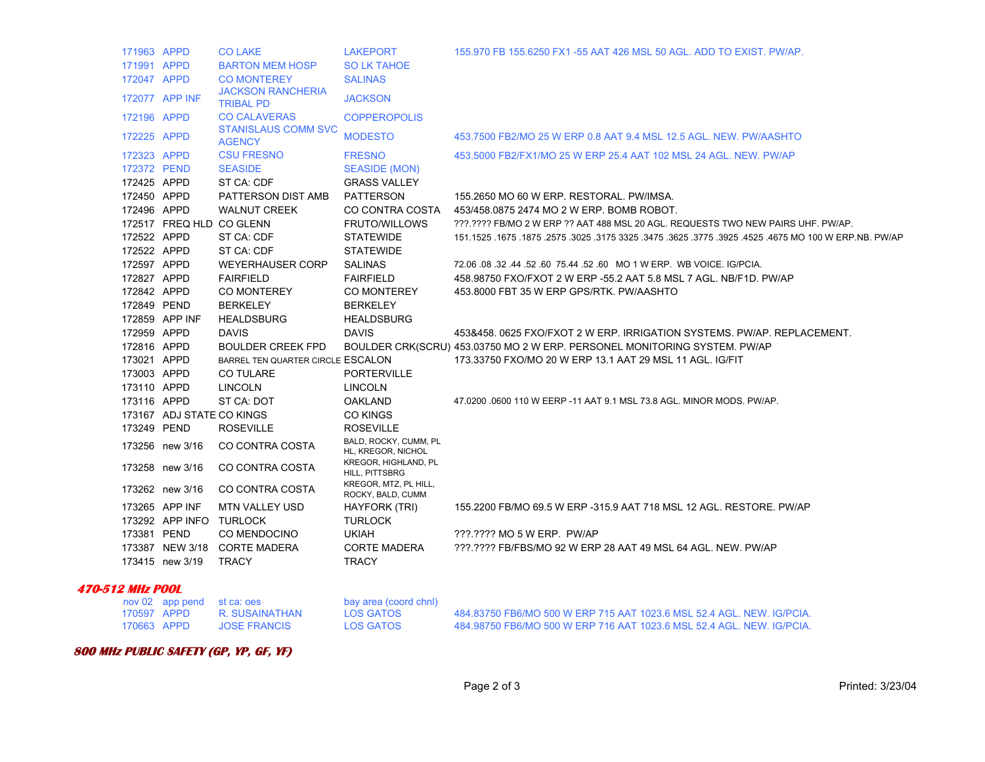|                         | 171963 APPD |                            | <b>CO LAKE</b>                               | <b>LAKEPORT</b>                             | 155.970 FB 155.6250 FX1 -55 AAT 426 MSL 50 AGL. ADD TO EXIST. PW/AP.                                          |
|-------------------------|-------------|----------------------------|----------------------------------------------|---------------------------------------------|---------------------------------------------------------------------------------------------------------------|
|                         | 171991 APPD |                            | <b>BARTON MEM HOSP</b>                       | <b>SO LK TAHOE</b>                          |                                                                                                               |
|                         | 172047 APPD |                            | <b>CO MONTEREY</b>                           | <b>SALINAS</b>                              |                                                                                                               |
|                         |             | 172077 APP INF             | <b>JACKSON RANCHERIA</b><br><b>TRIBAL PD</b> | <b>JACKSON</b>                              |                                                                                                               |
|                         | 172196 APPD |                            | <b>CO CALAVERAS</b>                          | <b>COPPEROPOLIS</b>                         |                                                                                                               |
|                         | 172225 APPD |                            | <b>STANISLAUS COMM SVC</b><br><b>AGENCY</b>  | <b>MODESTO</b>                              | 453.7500 FB2/MO 25 W ERP 0.8 AAT 9.4 MSL 12.5 AGL. NEW. PW/AASHTO                                             |
|                         | 172323 APPD |                            | <b>CSU FRESNO</b>                            | <b>FRESNO</b>                               | 453,5000 FB2/FX1/MO 25 W ERP 25.4 AAT 102 MSL 24 AGL, NEW, PW/AP                                              |
|                         | 172372 PEND |                            | <b>SEASIDE</b>                               | <b>SEASIDE (MON)</b>                        |                                                                                                               |
|                         | 172425 APPD |                            | ST CA: CDF                                   | <b>GRASS VALLEY</b>                         |                                                                                                               |
|                         | 172450 APPD |                            | PATTERSON DIST AMB                           | PATTERSON                                   | 155.2650 MO 60 W ERP. RESTORAL. PW/IMSA.                                                                      |
|                         | 172496 APPD |                            | <b>WALNUT CREEK</b>                          | CO CONTRA COSTA                             | 453/458.0875 2474 MO 2 W ERP. BOMB ROBOT.                                                                     |
|                         |             | 172517 FREQ HLD CO GLENN   |                                              | <b>FRUTO/WILLOWS</b>                        | ???.???? FB/MO 2 W ERP ?? AAT 488 MSL 20 AGL. REQUESTS TWO NEW PAIRS UHF. PW/AP.                              |
|                         | 172522 APPD |                            | ST CA: CDF                                   | <b>STATEWIDE</b>                            | 151.1525 .1675 .1675 .1675 .3575 .3475 .3625 .3775 .3625 .3775 .3925 .4525 .3675 .1675 .1675 .1675 .1675 .167 |
|                         | 172522 APPD |                            | ST CA: CDF                                   | <b>STATEWIDE</b>                            |                                                                                                               |
|                         | 172597 APPD |                            | <b>WEYERHAUSER CORP</b>                      | <b>SALINAS</b>                              | 72.06 08 .32 .44 .52 .60 75.44 .52 .60 MO 1 W ERP. WB VOICE. IG/PCIA.                                         |
|                         | 172827 APPD |                            | <b>FAIRFIELD</b>                             | <b>FAIRFIELD</b>                            | 458.98750 FXO/FXOT 2 W ERP -55.2 AAT 5.8 MSL 7 AGL. NB/F1D. PW/AP                                             |
|                         | 172842 APPD |                            | CO MONTEREY                                  | CO MONTEREY                                 | 453.8000 FBT 35 W ERP GPS/RTK. PW/AASHTO                                                                      |
|                         | 172849 PEND |                            | <b>BERKELEY</b>                              | <b>BERKELEY</b>                             |                                                                                                               |
|                         |             | 172859 APP INF             | <b>HEALDSBURG</b>                            | <b>HEALDSBURG</b>                           |                                                                                                               |
|                         | 172959 APPD |                            | <b>DAVIS</b>                                 | <b>DAVIS</b>                                | 453&458, 0625 FXO/FXOT 2 W ERP. IRRIGATION SYSTEMS, PW/AP, REPLACEMENT.                                       |
|                         | 172816 APPD |                            | <b>BOULDER CREEK FPD</b>                     |                                             | BOULDER CRK(SCRU) 453.03750 MO 2 W ERP. PERSONEL MONITORING SYSTEM, PW/AP                                     |
|                         | 173021 APPD |                            | BARREL TEN QUARTER CIRCLE ESCALON            |                                             | 173.33750 FXO/MO 20 W ERP 13.1 AAT 29 MSL 11 AGL. IG/FIT                                                      |
|                         | 173003 APPD |                            | <b>CO TULARE</b>                             | <b>PORTERVILLE</b>                          |                                                                                                               |
|                         | 173110 APPD |                            | <b>LINCOLN</b>                               | <b>LINCOLN</b>                              |                                                                                                               |
|                         | 173116 APPD |                            | ST CA: DOT                                   | <b>OAKLAND</b>                              | 47.0200 .0600 110 W EERP -11 AAT 9.1 MSL 73.8 AGL. MINOR MODS. PW/AP.                                         |
|                         |             | 173167 ADJ STATE CO KINGS  |                                              | <b>CO KINGS</b>                             |                                                                                                               |
|                         | 173249 PEND |                            | <b>ROSEVILLE</b>                             | <b>ROSEVILLE</b>                            |                                                                                                               |
|                         |             | 173256 new 3/16            | CO CONTRA COSTA                              | BALD, ROCKY, CUMM, PL<br>HL, KREGOR, NICHOL |                                                                                                               |
|                         |             | 173258 new 3/16            | CO CONTRA COSTA                              | KREGOR, HIGHLAND, PL<br>HILL, PITTSBRG      |                                                                                                               |
|                         |             | 173262 new 3/16            | CO CONTRA COSTA                              | KREGOR, MTZ, PL HILL,<br>ROCKY, BALD, CUMM  |                                                                                                               |
|                         |             | 173265 APP INF             | MTN VALLEY USD                               | HAYFORK (TRI)                               | 155.2200 FB/MO 69.5 W ERP -315.9 AAT 718 MSL 12 AGL. RESTORE. PW/AP                                           |
|                         |             | 173292 APP INFO TURLOCK    |                                              | <b>TURLOCK</b>                              |                                                                                                               |
|                         | 173381 PEND |                            | CO MENDOCINO                                 | <b>UKIAH</b>                                | ???.???? MO 5 W ERP. PW/AP                                                                                    |
|                         |             |                            | 173387 NEW 3/18 CORTE MADERA                 | <b>CORTE MADERA</b>                         | ???.???? FB/FBS/MO 92 W ERP 28 AAT 49 MSL 64 AGL. NEW. PW/AP                                                  |
|                         |             | 173415 new 3/19            | TRACY                                        | <b>TRACY</b>                                |                                                                                                               |
| <b>470-512 MHz POOL</b> |             |                            |                                              |                                             |                                                                                                               |
|                         |             | nov 02 app pend st ca: oes |                                              | bay area (coord chnl)                       |                                                                                                               |

|  | $1010 = 0.00$ $P0110 = 0.001$ |                     | 304, 2154, 3055, 3011, 117 |                                                                       |
|--|-------------------------------|---------------------|----------------------------|-----------------------------------------------------------------------|
|  | 170597 APPD                   | R. SUSAINATHAN      | LOS GATOS                  | 484.83750 FB6/MO 500 W ERP 715 AAT 1023.6 MSL 52.4 AGL. NEW. IG/PCIA  |
|  | 170663 APPD                   | <b>JOSE FRANCIS</b> | LOS GATOS                  | 484,98750 FB6/MO 500 W ERP 716 AAT 1023.6 MSL 52.4 AGL, NEW, IG/PCIA. |

## **800 MHz PUBLIC SAFETY (GP, YP, GF, YF)**